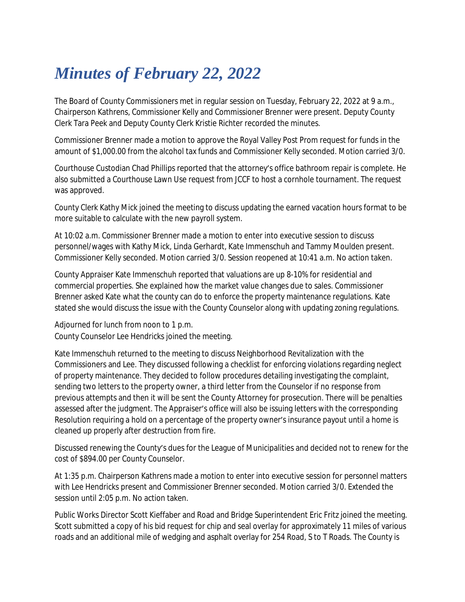## *Minutes of February 22, 2022*

The Board of County Commissioners met in regular session on Tuesday, February 22, 2022 at 9 a.m., Chairperson Kathrens, Commissioner Kelly and Commissioner Brenner were present. Deputy County Clerk Tara Peek and Deputy County Clerk Kristie Richter recorded the minutes.

Commissioner Brenner made a motion to approve the Royal Valley Post Prom request for funds in the amount of \$1,000.00 from the alcohol tax funds and Commissioner Kelly seconded. Motion carried 3/0.

Courthouse Custodian Chad Phillips reported that the attorney's office bathroom repair is complete. He also submitted a Courthouse Lawn Use request from JCCF to host a cornhole tournament. The request was approved.

County Clerk Kathy Mick joined the meeting to discuss updating the earned vacation hours format to be more suitable to calculate with the new payroll system.

At 10:02 a.m. Commissioner Brenner made a motion to enter into executive session to discuss personnel/wages with Kathy Mick, Linda Gerhardt, Kate Immenschuh and Tammy Moulden present. Commissioner Kelly seconded. Motion carried 3/0. Session reopened at 10:41 a.m. No action taken.

County Appraiser Kate Immenschuh reported that valuations are up 8-10% for residential and commercial properties. She explained how the market value changes due to sales. Commissioner Brenner asked Kate what the county can do to enforce the property maintenance regulations. Kate stated she would discuss the issue with the County Counselor along with updating zoning regulations.

Adjourned for lunch from noon to 1 p.m. County Counselor Lee Hendricks joined the meeting.

Kate Immenschuh returned to the meeting to discuss Neighborhood Revitalization with the Commissioners and Lee. They discussed following a checklist for enforcing violations regarding neglect of property maintenance. They decided to follow procedures detailing investigating the complaint, sending two letters to the property owner, a third letter from the Counselor if no response from previous attempts and then it will be sent the County Attorney for prosecution. There will be penalties assessed after the judgment. The Appraiser's office will also be issuing letters with the corresponding Resolution requiring a hold on a percentage of the property owner's insurance payout until a home is cleaned up properly after destruction from fire.

Discussed renewing the County's dues for the League of Municipalities and decided not to renew for the cost of \$894.00 per County Counselor.

At 1:35 p.m. Chairperson Kathrens made a motion to enter into executive session for personnel matters with Lee Hendricks present and Commissioner Brenner seconded. Motion carried 3/0. Extended the session until 2:05 p.m. No action taken.

Public Works Director Scott Kieffaber and Road and Bridge Superintendent Eric Fritz joined the meeting. Scott submitted a copy of his bid request for chip and seal overlay for approximately 11 miles of various roads and an additional mile of wedging and asphalt overlay for 254 Road, S to T Roads. The County is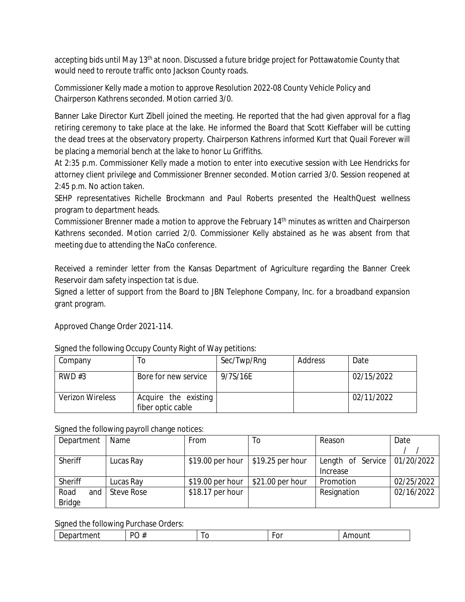accepting bids until May 13<sup>th</sup> at noon. Discussed a future bridge project for Pottawatomie County that would need to reroute traffic onto Jackson County roads.

Commissioner Kelly made a motion to approve Resolution 2022-08 County Vehicle Policy and Chairperson Kathrens seconded. Motion carried 3/0.

Banner Lake Director Kurt Zibell joined the meeting. He reported that the had given approval for a flag retiring ceremony to take place at the lake. He informed the Board that Scott Kieffaber will be cutting the dead trees at the observatory property. Chairperson Kathrens informed Kurt that Quail Forever will be placing a memorial bench at the lake to honor Lu Griffiths.

At 2:35 p.m. Commissioner Kelly made a motion to enter into executive session with Lee Hendricks for attorney client privilege and Commissioner Brenner seconded. Motion carried 3/0. Session reopened at 2:45 p.m. No action taken.

SEHP representatives Richelle Brockmann and Paul Roberts presented the HealthQuest wellness program to department heads.

Commissioner Brenner made a motion to approve the February 14<sup>th</sup> minutes as written and Chairperson Kathrens seconded. Motion carried 2/0. Commissioner Kelly abstained as he was absent from that meeting due to attending the NaCo conference.

Received a reminder letter from the Kansas Department of Agriculture regarding the Banner Creek Reservoir dam safety inspection tat is due.

Signed a letter of support from the Board to JBN Telephone Company, Inc. for a broadband expansion grant program.

Approved Change Order 2021-114.

| Company                 | ١o                                        | Sec/Twp/Rng | Address | Date       |
|-------------------------|-------------------------------------------|-------------|---------|------------|
| RWD#3                   | Bore for new service                      | 9/7S/16E    |         | 02/15/2022 |
| <b>Verizon Wireless</b> | Acquire the existing<br>fiber optic cable |             |         | 02/11/2022 |

Signed the following Occupy County Right of Way petitions:

## Signed the following payroll change notices:

| Department    | Name       | From              | 10                | Reason                         | Date       |
|---------------|------------|-------------------|-------------------|--------------------------------|------------|
|               |            |                   |                   |                                |            |
| Sheriff       | Lucas Ray  | \$19.00 per hour  | $$19.25$ per hour | Length of Service   01/20/2022 |            |
|               |            |                   |                   | Increase                       |            |
| Sheriff       | Lucas Ray  | $$19.00$ per hour | $$21.00$ per hour | Promotion                      | 02/25/2022 |
| Road<br>and   | Steve Rose | \$18.17 per hour  |                   | Resignation                    | 02/16/2022 |
| <b>Bridge</b> |            |                   |                   |                                |            |

Signed the following Purchase Orders:

| $\overline{\phantom{a}}$<br>$\cdot$<br>-<br>___ |    |  |      |
|-------------------------------------------------|----|--|------|
|                                                 | DC |  | ---- |